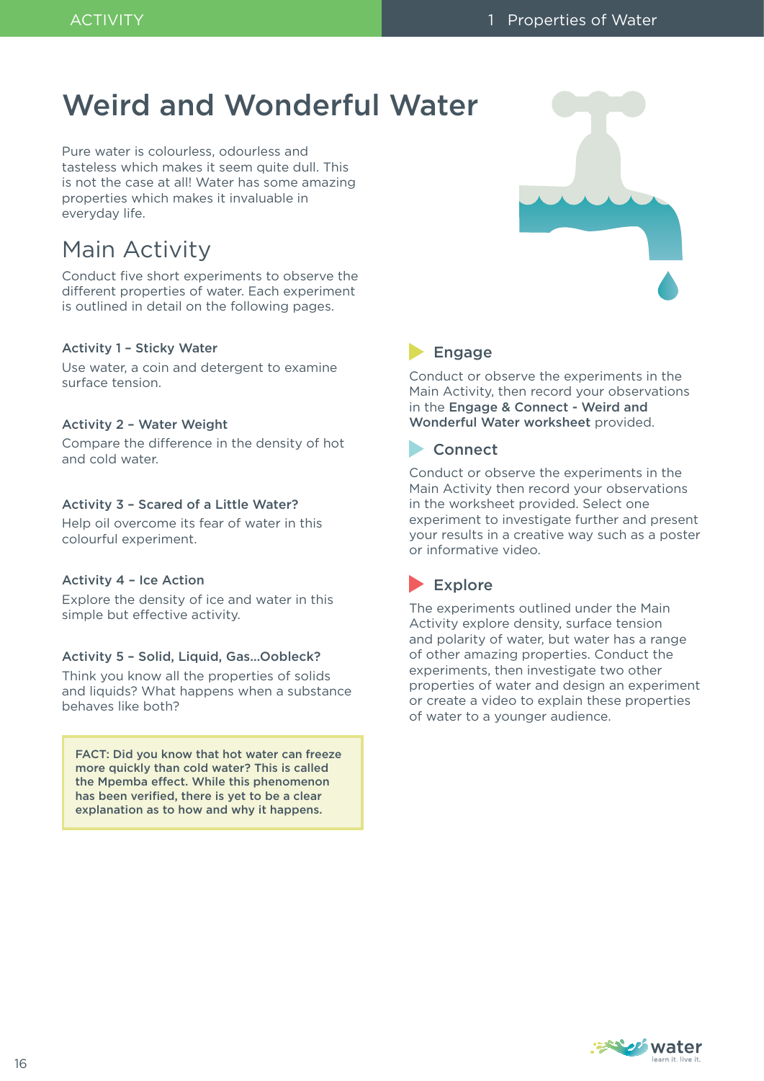# Weird and Wonderful Water

Pure water is colourless, odourless and tasteless which makes it seem quite dull. This is not the case at all! Water has some amazing properties which makes it invaluable in everyday life.

# Main Activity

Conduct five short experiments to observe the different properties of water. Each experiment is outlined in detail on the following pages.

#### Activity 1 – Sticky Water

Use water, a coin and detergent to examine surface tension.

### Activity 2 – Water Weight

Compare the difference in the density of hot and cold water.

### Activity 3 – Scared of a Little Water?

Help oil overcome its fear of water in this colourful experiment.

#### Activity 4 – Ice Action

Explore the density of ice and water in this simple but effective activity.

#### Activity 5 – Solid, Liquid, Gas…Oobleck?

Think you know all the properties of solids and liquids? What happens when a substance behaves like both?

FACT: Did you know that hot water can freeze more quickly than cold water? This is called the Mpemba effect. While this phenomenon has been verified, there is yet to be a clear explanation as to how and why it happens.



# **Engage**

Conduct or observe the experiments in the Main Activity, then record your observations in the Engage & Connect - Weird and Wonderful Water worksheet provided.

## **Connect**

Conduct or observe the experiments in the Main Activity then record your observations in the worksheet provided. Select one experiment to investigate further and present your results in a creative way such as a poster or informative video.

# $\blacktriangleright$  Explore

The experiments outlined under the Main Activity explore density, surface tension and polarity of water, but water has a range of other amazing properties. Conduct the experiments, then investigate two other properties of water and design an experiment or create a video to explain these properties of water to a younger audience.

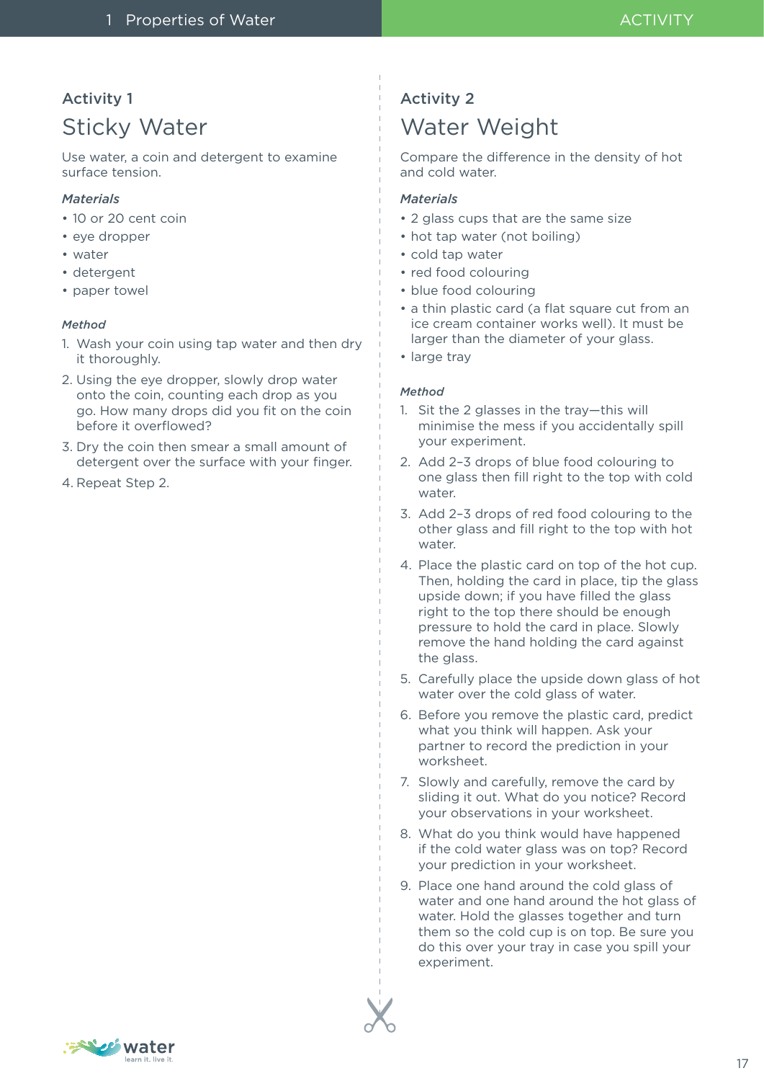# Activity 1

# Sticky Water

Use water, a coin and detergent to examine surface tension.

## *Materials*

- 10 or 20 cent coin
- eye dropper
- water
- detergent
- paper towel

## *Method*

- 1. Wash your coin using tap water and then dry it thoroughly.
- 2. Using the eye dropper, slowly drop water onto the coin, counting each drop as you go. How many drops did you fit on the coin before it overflowed?
- 3. Dry the coin then smear a small amount of detergent over the surface with your finger.
- 4. Repeat Step 2.

# Activity 2 Water Weight

Compare the difference in the density of hot and cold water.

## *Materials*

- 2 glass cups that are the same size
- hot tap water (not boiling)
- cold tap water
- red food colouring
- blue food colouring
- a thin plastic card (a flat square cut from an ice cream container works well). It must be larger than the diameter of your glass.
- large tray

### *Method*

- 1. Sit the 2 glasses in the tray—this will minimise the mess if you accidentally spill your experiment.
- 2. Add 2–3 drops of blue food colouring to one glass then fill right to the top with cold water.
- 3. Add 2–3 drops of red food colouring to the other glass and fill right to the top with hot water
- 4. Place the plastic card on top of the hot cup. Then, holding the card in place, tip the glass upside down; if you have filled the glass right to the top there should be enough pressure to hold the card in place. Slowly remove the hand holding the card against the glass.
- 5. Carefully place the upside down glass of hot water over the cold glass of water.
- 6. Before you remove the plastic card, predict what you think will happen. Ask your partner to record the prediction in your worksheet.
- 7. Slowly and carefully, remove the card by sliding it out. What do you notice? Record your observations in your worksheet.
- 8. What do you think would have happened if the cold water glass was on top? Record your prediction in your worksheet.
- 9. Place one hand around the cold glass of water and one hand around the hot glass of water. Hold the glasses together and turn them so the cold cup is on top. Be sure you do this over your tray in case you spill your experiment.



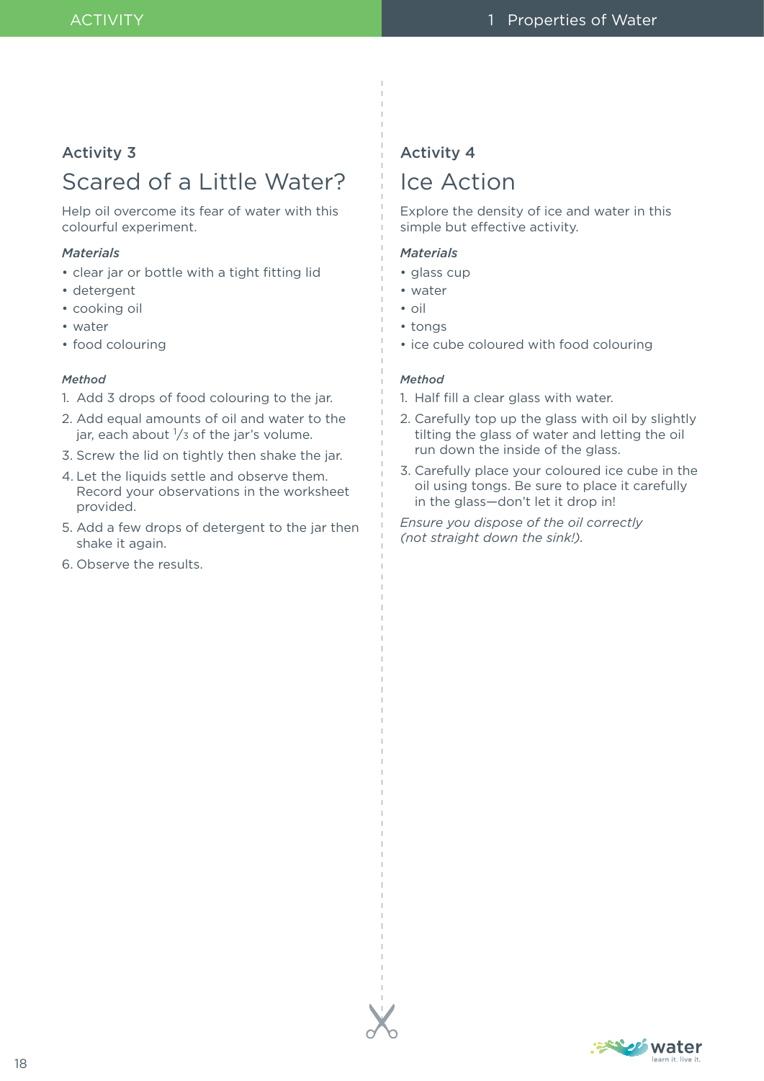## Activity 3

# Scared of a Little Water?

Help oil overcome its fear of water with this colourful experiment.

#### *Materials*

- clear jar or bottle with a tight fitting lid
- detergent
- cooking oil
- water
- food colouring

#### *Method*

- 1. Add 3 drops of food colouring to the jar.
- 2. Add equal amounts of oil and water to the jar, each about  $\frac{1}{3}$  of the jar's volume.
- 3. Screw the lid on tightly then shake the jar.
- 4. Let the liquids settle and observe them. Record your observations in the worksheet provided.
- 5. Add a few drops of detergent to the jar then shake it again.
- 6. Observe the results.

# Activity 4 Ice Action

Explore the density of ice and water in this simple but effective activity.

### *Materials*

- glass cup
- water
- oil
- tongs
- ice cube coloured with food colouring

#### *Method*

- 1. Half fill a clear glass with water.
- 2. Carefully top up the glass with oil by slightly tilting the glass of water and letting the oil run down the inside of the glass.
- 3. Carefully place your coloured ice cube in the oil using tongs. Be sure to place it carefully in the glass—don't let it drop in!

*Ensure you dispose of the oil correctly (not straight down the sink!).*

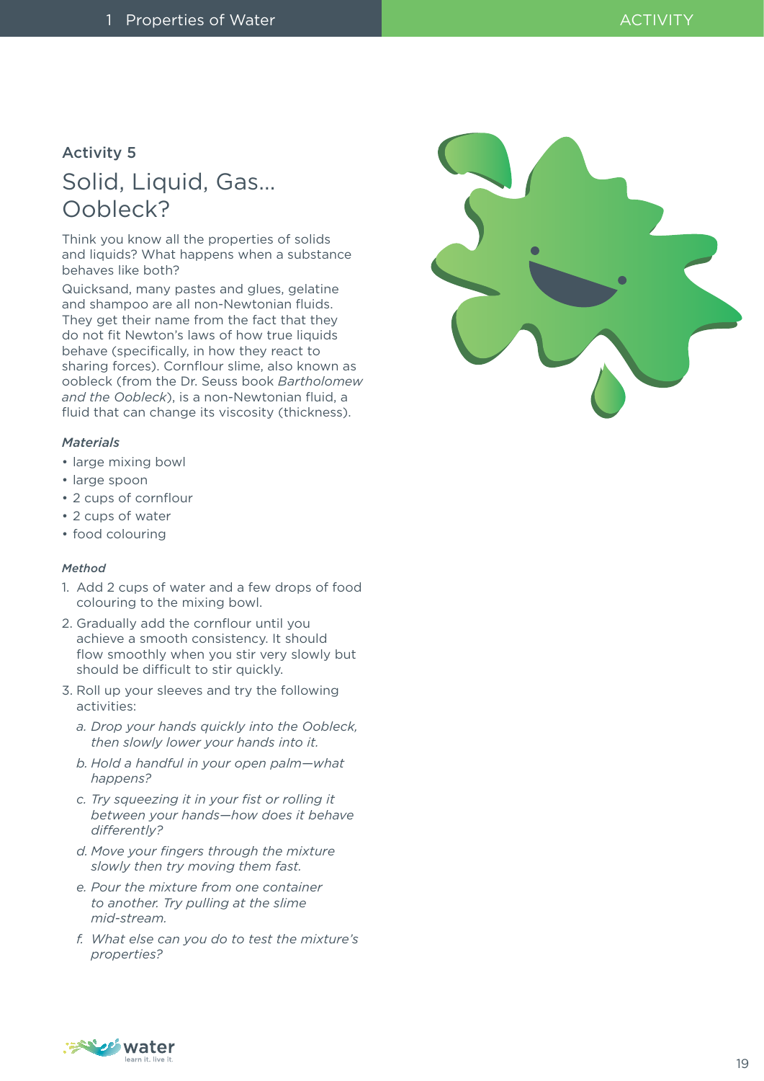# Activity 5

# Solid, Liquid, Gas… Oobleck?

Think you know all the properties of solids and liquids? What happens when a substance behaves like both?

Quicksand, many pastes and glues, gelatine and shampoo are all non-Newtonian fluids. They get their name from the fact that they do not fit Newton's laws of how true liquids behave (specifically, in how they react to sharing forces). Cornflour slime, also known as oobleck (from the Dr. Seuss book *Bartholomew and the Oobleck*), is a non-Newtonian fluid, a fluid that can change its viscosity (thickness).

#### *Materials*

- large mixing bowl
- large spoon
- 2 cups of cornflour
- 2 cups of water
- food colouring

#### *Method*

- 1. Add 2 cups of water and a few drops of food colouring to the mixing bowl.
- 2. Gradually add the cornflour until you achieve a smooth consistency. It should flow smoothly when you stir very slowly but should be difficult to stir quickly.
- 3. Roll up your sleeves and try the following activities:
	- *a. Drop your hands quickly into the Oobleck, then slowly lower your hands into it.*
	- *b. Hold a handful in your open palm—what happens?*
	- *c. Try squeezing it in your fist or rolling it between your hands—how does it behave differently?*
	- *d. Move your fingers through the mixture slowly then try moving them fast.*
	- *e. Pour the mixture from one container to another. Try pulling at the slime mid-stream.*
	- *f. What else can you do to test the mixture's properties?*



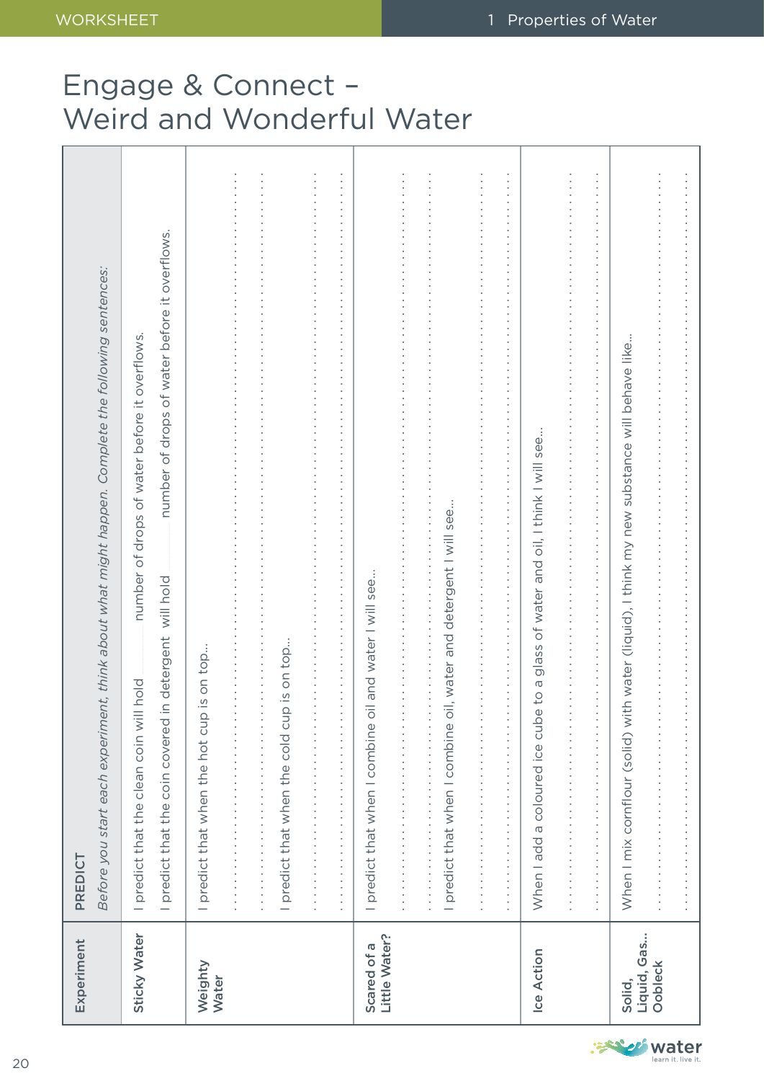# Engage & Connect – Weird and Wonderful Water

| Experiment                   | Before you start each experiment, think about what might happen. Complete the following sentences:<br>PREDICT                                                                                                                                                                                                                                                                                       |
|------------------------------|-----------------------------------------------------------------------------------------------------------------------------------------------------------------------------------------------------------------------------------------------------------------------------------------------------------------------------------------------------------------------------------------------------|
| Sticky Water                 | number of drops of water before it overflows.<br>number of drops of water before it overflows.<br>in detergent will hold<br>I predict that the clean coin will hold<br>I predict that the coin covered                                                                                                                                                                                              |
| Weighty<br>Water             | I predict that when the hot cup is on top<br>Ì                                                                                                                                                                                                                                                                                                                                                      |
|                              | I predict that when the cold cup is on top.                                                                                                                                                                                                                                                                                                                                                         |
|                              | $\cdot$<br>$\frac{1}{2}$                                                                                                                                                                                                                                                                                                                                                                            |
| Little Water?<br>Scared of a | oil and water I will see<br>$\frac{1}{2}$<br>I predict that when I combine                                                                                                                                                                                                                                                                                                                          |
|                              | oil, water and detergent I will see<br>I predict that when I combine                                                                                                                                                                                                                                                                                                                                |
|                              | ×,<br>$\begin{bmatrix} 1 & 0 & 0 \\ 0 & 1 & 0 \\ 0 & 0 & 0 \\ 0 & 0 & 0 \\ 0 & 0 & 0 \\ 0 & 0 & 0 \\ 0 & 0 & 0 & 0 \\ 0 & 0 & 0 & 0 \\ 0 & 0 & 0 & 0 \\ 0 & 0 & 0 & 0 & 0 \\ 0 & 0 & 0 & 0 & 0 \\ 0 & 0 & 0 & 0 & 0 \\ 0 & 0 & 0 & 0 & 0 & 0 \\ 0 & 0 & 0 & 0 & 0 & 0 \\ 0 & 0 & 0 & 0 & 0 & 0 & 0 \\ 0 & 0 & 0 & 0 & 0 & 0 & 0 \\ $<br>×<br>Ì<br>ł<br>ï<br>$\frac{1}{2}$<br>ł,<br>Ì<br>×<br>×<br>× |
| <b>Ice Action</b>            | glass of water and oil, I think I will see.<br>$\sigma$<br>$\frac{1}{2}$<br>When I add a coloured ice cub                                                                                                                                                                                                                                                                                           |
|                              | $\frac{1}{2}$<br>.<br>$\begin{bmatrix} 1 & 1 & 1 \\ 1 & 1 & 1 \\ 1 & 1 & 1 \\ 1 & 1 & 1 \end{bmatrix}$<br>$\frac{1}{2}$<br>----------------------------------                                                                                                                                                                                                                                       |
| Liquid, Gas<br>Solid,        | When I mix cornflour (solid) with water (liquid), I think my new substance will behave like                                                                                                                                                                                                                                                                                                         |
| Oobleck                      | $\frac{1}{2}$<br>.                                                                                                                                                                                                                                                                                                                                                                                  |